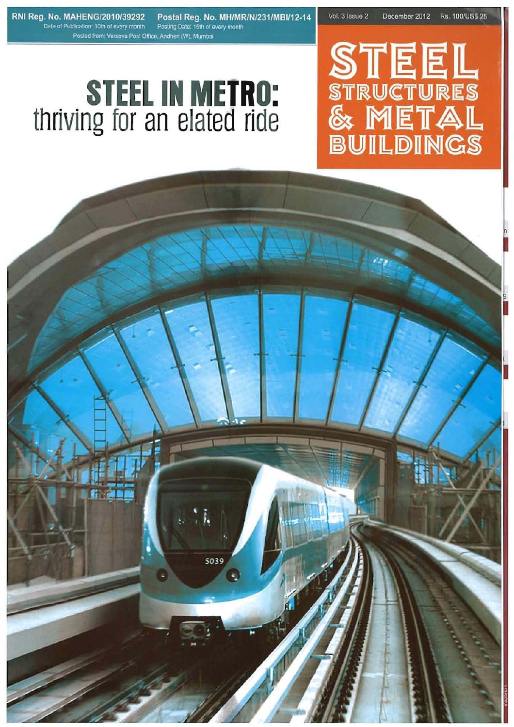RNI Reg. No. MAHENG/2010/39292 Date of Publication: 10th of every month Posted from: Versova Post Office, Andheri (W), Mumbai

Postal Reg. No. MH/MR/N/231/MBI/12-14 Posting Date: 15th of every month

Vol. 3 Issue 2 Rs. 100/US\$ 25 December 2012

# **STEEL<br>STRUCTURES<br>& METAL<br>BUILDINGS**

## **STEEL IN METRO:**<br>thriving for an elated ride

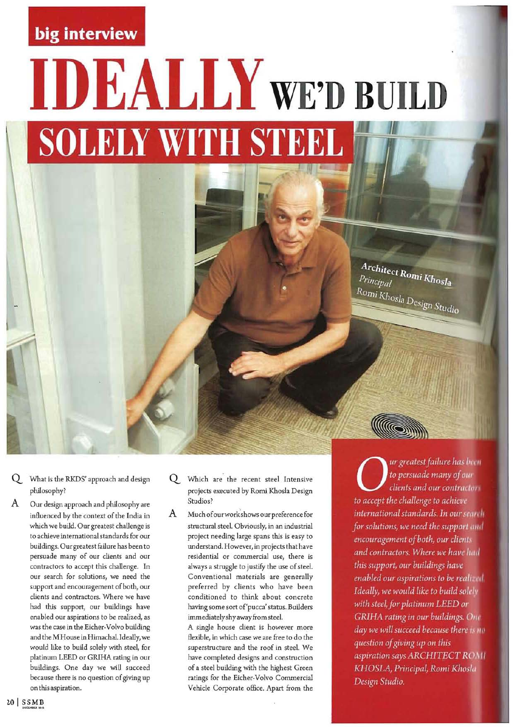#### **big interview**

### **IDEALLY WE'D BUILD SOLELY WITH STEEL**

- Q What is the RKDS' approach and design philosophy?
- A Our design approach and philosophy are influenced by the context of the India in which we build. Our greatest challenge is to achieve international standards for our buildings. Our greatest failure has been to persuade many of our clients and our contractors to accept this challenge. In our search for solutions, we need the support and encouragement of both, our clients and contractors. Where we have had this support, our buildings have enabled our aspirations to be realized, as was the case in the Eicher-Volvo building and the M House in Himachal. Ideally, we would like to build solely with steel, for platinum LEED or GRIHA rating in our buildings. One day we will succeed because there is no question of giving up on this aspiration.
- Q Which are the recent steel Intensive projects executed by Romi Khosla Design Studios?
- A Much ofourworkshows our preference for structural steel. Obviously, in an industrial project needing large spans this is easy to understand. However, in projects that have residential or commercial use, there is always a struggle to justify the use of steel. Conventional materials are generally preferred by clients who have been conditioned to think about concrete having some sort of'pucca' status. Builders immediately shy away from steel.

A single house client is however more flexible, in which case we are free to do the superstructure and the roof in steel. We have completed designs and construction of a steel building with the highest Green ratings for the Eicher-Volvo Commercial Vehicle Corporate office. Apart from the

ur greatest failure has been to persuade many of our clients and our contractors to accept the challenge to achieve international standards. In our search for solutions, we need the support and encouragement of both, our clients and contractors. Where we have had this support, our buildings have enabled our aspirations to be realized. Ideally, we would like to build solcly with steel, for platinum LEED or **GRIHA** rating in our buildings. One day we will succeed because there is no question of giving up on this aspiration says ARCHITECT ROMI KHOSLA, Principal, Romi Khosla Design Studio.

Architect Romi Khosla<br><sup>Principal</sup>

Romi Khosla Design Studio

(Gi

Principal